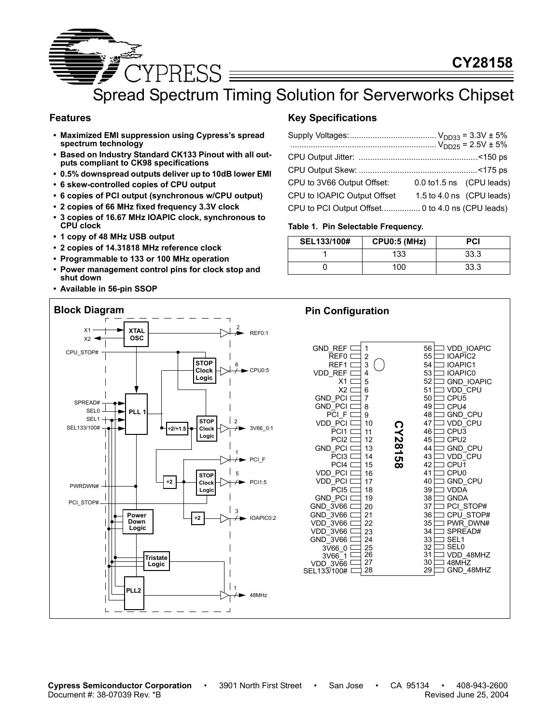

Spread Spectrum Timing Solution for Serverworks Chipset

#### **Features**

- **Maximized EMI suppression using Cypress's spread spectrum technology**
- **Based on Industry Standard CK133 Pinout with all outputs compliant to CK98 specifications**
- **0.5% downspread outputs deliver up to 10dB lower EMI**
- **6 skew-controlled copies of CPU output**
- **6 copies of PCI output (synchronous w/CPU output)**
- **2 copies of 66 MHz fixed frequency 3.3V clock**
- **3 copies of 16.67 MHz IOAPIC clock, synchronous to CPU clock**
- **1 copy of 48 MHz USB output**
- **2 copies of 14.31818 MHz reference clock**
- **Programmable to 133 or 100 MHz operation**
- **Power management control pins for clock stop and shut down**
- **Available in 56-pin SSOP**

### **Key Specifications**

| CPU to 3V66 Output Offset:  | 0.0 to 1.5 ns (CPU leads) |                           |
|-----------------------------|---------------------------|---------------------------|
| CPU to IOAPIC Output Offset |                           | 1.5 to 4.0 ns (CPU leads) |
|                             |                           |                           |

#### **Table 1. Pin Selectable Frequency.**

| SEL133/100# | <b>CPU0:5 (MHz)</b> | <b>PCI</b> |
|-------------|---------------------|------------|
|             | 133                 | 33.3       |
|             | 100                 | 33.3       |

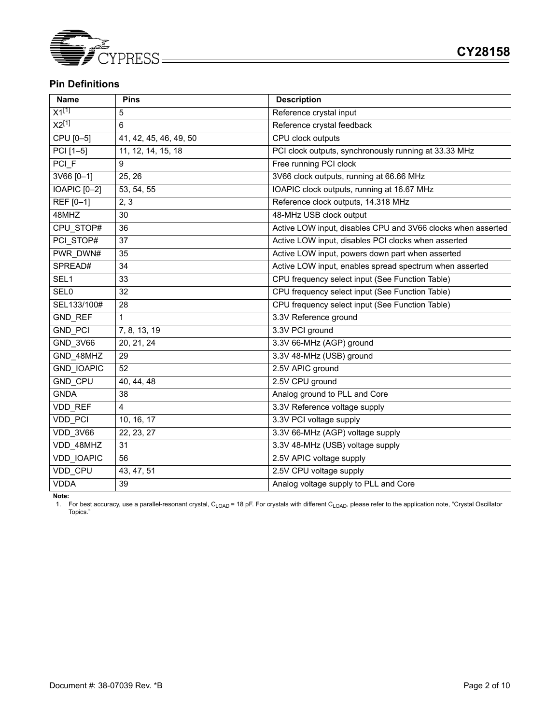

### **Pin Definitions**

| <b>Name</b>       | <b>Pins</b>            | <b>Description</b>                                           |
|-------------------|------------------------|--------------------------------------------------------------|
| $X1^{[1]}$        | 5                      | Reference crystal input                                      |
| $X2^{[1]}$        | 6                      | Reference crystal feedback                                   |
| CPU [0-5]         | 41, 42, 45, 46, 49, 50 | CPU clock outputs                                            |
| PCI [1-5]         | 11, 12, 14, 15, 18     | PCI clock outputs, synchronously running at 33.33 MHz        |
| PCI_F             | 9                      | Free running PCI clock                                       |
| 3V66 [0-1]        | 25, 26                 | 3V66 clock outputs, running at 66.66 MHz                     |
| IOAPIC [0-2]      | 53, 54, 55             | IOAPIC clock outputs, running at 16.67 MHz                   |
| REF [0-1]         | 2, 3                   | Reference clock outputs, 14.318 MHz                          |
| 48MHZ             | 30                     | 48-MHz USB clock output                                      |
| CPU STOP#         | 36                     | Active LOW input, disables CPU and 3V66 clocks when asserted |
| PCI STOP#         | 37                     | Active LOW input, disables PCI clocks when asserted          |
| PWR DWN#          | 35                     | Active LOW input, powers down part when asserted             |
| SPREAD#           | 34                     | Active LOW input, enables spread spectrum when asserted      |
| SEL1              | 33                     | CPU frequency select input (See Function Table)              |
| SEL <sub>0</sub>  | 32                     | CPU frequency select input (See Function Table)              |
| SEL133/100#       | 28                     | CPU frequency select input (See Function Table)              |
| <b>GND REF</b>    | 1                      | 3.3V Reference ground                                        |
| <b>GND PCI</b>    | 7, 8, 13, 19           | 3.3V PCI ground                                              |
| <b>GND 3V66</b>   | 20, 21, 24             | 3.3V 66-MHz (AGP) ground                                     |
| GND 48MHZ         | 29                     | 3.3V 48-MHz (USB) ground                                     |
| <b>GND IOAPIC</b> | 52                     | 2.5V APIC ground                                             |
| <b>GND CPU</b>    | 40, 44, 48             | 2.5V CPU ground                                              |
| <b>GNDA</b>       | 38                     | Analog ground to PLL and Core                                |
| VDD_REF           | $\overline{4}$         | 3.3V Reference voltage supply                                |
| VDD PCI           | 10, 16, 17             | 3.3V PCI voltage supply                                      |
| VDD 3V66          | 22, 23, 27             | 3.3V 66-MHz (AGP) voltage supply                             |
| VDD 48MHZ         | 31                     | 3.3V 48-MHz (USB) voltage supply                             |
| VDD_IOAPIC        | 56                     | 2.5V APIC voltage supply                                     |
| VDD CPU           | 43, 47, 51             | 2.5V CPU voltage supply                                      |
| <b>VDDA</b>       | 39                     | Analog voltage supply to PLL and Core                        |

**Note:**

1. For best accuracy, use a parallel-resonant crystal, C<sub>LOAD</sub> = 18 pF. For crystals with different C<sub>LOAD</sub>, please refer to the application note, "Crystal Oscillator Topics."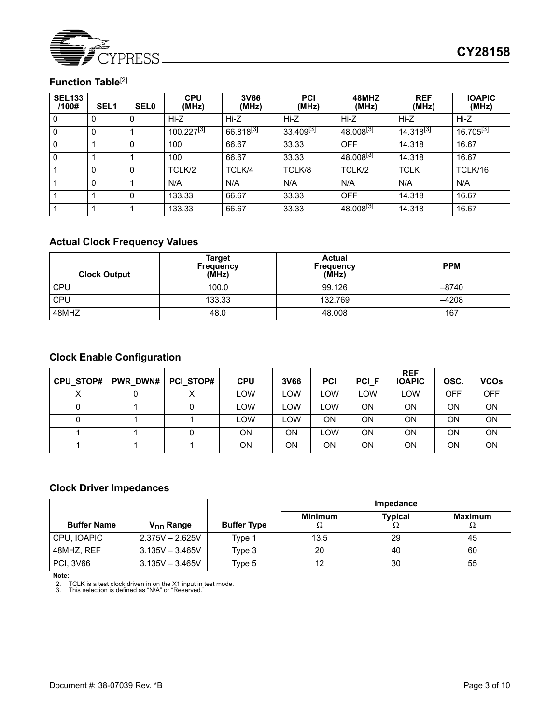

# **Function Table**[2]

| <b>SEL133</b><br>/100# | SEL <sub>1</sub> | <b>SEL0</b> | <b>CPU</b><br>(MHz)    | 3V66<br>(MHz)         | <b>PCI</b><br>(MHz)   | 48MHZ<br>(MHz)        | <b>REF</b><br>(MHz)   | <b>IOAPIC</b><br>(MHz) |
|------------------------|------------------|-------------|------------------------|-----------------------|-----------------------|-----------------------|-----------------------|------------------------|
| 0                      | 0                | 0           | Hi-Z                   | Hi-Z                  | Hi-Z                  | Hi-Z                  | Hi-Z                  | Hi-Z                   |
| 0                      | 0                |             | 100.227 <sup>[3]</sup> | 66.818 <sup>[3]</sup> | 33.409 <sup>[3]</sup> | $48.008^{[3]}$        | 14.318 <sup>[3]</sup> | 16.705 $^{[3]}$        |
| 0                      |                  | 0           | 100                    | 66.67                 | 33.33                 | <b>OFF</b>            | 14.318                | 16.67                  |
| 0                      |                  |             | 100                    | 66.67                 | 33.33                 | 48.008 <sup>[3]</sup> | 14.318                | 16.67                  |
|                        | 0                | 0           | TCLK/2                 | TCLK/4                | TCLK/8                | TCLK/2                | <b>TCLK</b>           | TCLK/16                |
|                        | 0                |             | N/A                    | N/A                   | N/A                   | N/A                   | N/A                   | N/A                    |
|                        |                  | 0           | 133.33                 | 66.67                 | 33.33                 | <b>OFF</b>            | 14.318                | 16.67                  |
|                        |                  |             | 133.33                 | 66.67                 | 33.33                 | 48.008 <sup>[3]</sup> | 14.318                | 16.67                  |

# **Actual Clock Frequency Values**

| <b>Clock Output</b> | <b>Target</b><br><b>Frequency</b><br>(MHz) | <b>Actual</b><br><b>Frequency</b><br>(MHz) | <b>PPM</b> |
|---------------------|--------------------------------------------|--------------------------------------------|------------|
| <b>CPU</b>          | 100.0                                      | 99.126                                     | $-8740$    |
| CPU                 | 133.33                                     | 132.769                                    | -4208      |
| 48MHZ               | 48.0                                       | 48.008                                     | 167        |

# **Clock Enable Configuration**

| CPU STOP# | PWR DWN# | <b>PCI STOP#</b> | <b>CPU</b> | 3V66 | PCI | <b>PCI F</b> | <b>REF</b><br><b>IOAPIC</b> | OSC.       | <b>VCOs</b> |
|-----------|----------|------------------|------------|------|-----|--------------|-----------------------------|------------|-------------|
|           |          |                  | LOW        | LOW  | LOW | <b>LOW</b>   | LOW                         | <b>OFF</b> | <b>OFF</b>  |
|           |          |                  | LOW        | LOW  | LOW | ΟN           | ON                          | ON         | ON          |
|           |          |                  | <b>LOW</b> | LOW  | ΟN  | ΟN           | ON                          | ON         | OΝ          |
|           |          |                  | ON         | ΟN   | LOW | ΟN           | ON                          | ON.        | OΝ          |
|           |          |                  | ON         | ΟN   | ON. | ΟN           | ON                          | ON         | OΝ          |

# **Clock Driver Impedances**

|                    |                       |                    | Impedance           |                |                      |  |  |
|--------------------|-----------------------|--------------------|---------------------|----------------|----------------------|--|--|
| <b>Buffer Name</b> | V <sub>DD</sub> Range | <b>Buffer Type</b> | <b>Minimum</b><br>Ω | <b>Typical</b> | <b>Maximum</b><br>75 |  |  |
| CPU, IOAPIC        | $2.375V - 2.625V$     | Type 1             | 13.5                | 29             | 45                   |  |  |
| 48MHZ, REF         | $3.135V - 3.465V$     | Type 3             | 20                  | 40             | 60                   |  |  |
| <b>PCI, 3V66</b>   | $3.135V - 3.465V$     | Type 5             |                     | 30             | 55                   |  |  |

**Note:**

2. TCLK is a test clock driven in on the X1 input in test mode. 3. This selection is defined as "N/A" or "Reserved."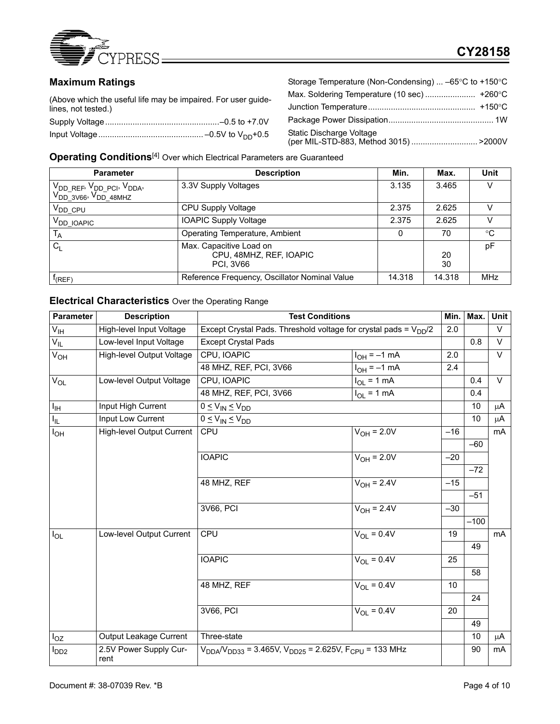

# **CY28158**

# **Maximum Ratings**

(Above which the useful life may be impaired. For user guidelines, not tested.) Supply Voltage..................................................–0.5 to +7.0V

Storage Temperature (Non-Condensing) ... –65°C to +150°C Max. Soldering Temperature (10 sec) ...................... +260°C Junction Temperature............................................... +150°C Package Power Dissipation.............................................. 1W Static Discharge Voltage (per MIL-STD-883, Method 3015) ............................. >2000V

**Operating Conditions**[4] Over which Electrical Parameters are Guaranteed

| <b>Parameter</b>                                                                                                 | <b>Description</b>                                                     | Min.   | Max.     | Unit        |
|------------------------------------------------------------------------------------------------------------------|------------------------------------------------------------------------|--------|----------|-------------|
| V <sub>DD_REF</sub> , V <sub>DD_PCI</sub> , V <sub>DDA</sub> ,<br>  V <sub>DD_3V66</sub> , V <sub>DD_48MHZ</sub> | 3.3V Supply Voltages                                                   | 3.135  | 3.465    |             |
| V <sub>DD</sub> CPU                                                                                              | CPU Supply Voltage                                                     | 2.375  | 2.625    | V           |
| V <sub>DD</sub> IOAPIC                                                                                           | <b>IOAPIC Supply Voltage</b>                                           | 2.375  | 2.625    |             |
| T <sub>A</sub>                                                                                                   | Operating Temperature, Ambient                                         |        | 70       | $^{\circ}C$ |
| $C_{L}$                                                                                                          | Max. Capacitive Load on<br>CPU, 48MHZ, REF, IOAPIC<br><b>PCI. 3V66</b> |        | 20<br>30 | pF          |
| $f_{(REF)}$                                                                                                      | Reference Frequency, Oscillator Nominal Value                          | 14.318 | 14.318   | <b>MHz</b>  |

#### **Electrical Characteristics** Over the Operating Range

| Parameter        | <b>Description</b>               | <b>Test Conditions</b>                                                       |                        | Min.            | Max.   | Unit    |
|------------------|----------------------------------|------------------------------------------------------------------------------|------------------------|-----------------|--------|---------|
| $V_{\text{IH}}$  | High-level Input Voltage         | Except Crystal Pads. Threshold voltage for crystal pads = $V_{DD}/2$         |                        | 2.0             |        | $\vee$  |
| $V_{IL}$         | Low-level Input Voltage          | <b>Except Crystal Pads</b>                                                   |                        |                 | 0.8    | $\vee$  |
| $V_{OH}$         | High-level Output Voltage        | CPU, IOAPIC                                                                  | $I_{OH} = -1$ mA       | 2.0             |        | $\vee$  |
|                  |                                  | 48 MHZ, REF, PCI, 3V66                                                       | $I_{OH} = -1$ mA       | 2.4             |        |         |
| $V_{OL}$         | Low-level Output Voltage         | CPU, IOAPIC                                                                  | $I_{OL}$ = 1 mA        |                 | 0.4    | $\vee$  |
|                  |                                  | 48 MHZ, REF, PCI, 3V66                                                       | $I_{OL}$ = 1 mA        |                 | 0.4    |         |
| $I_{\text{IH}}$  | Input High Current               | $0 \leq V_{IN} \leq V_{DD}$                                                  |                        |                 | 10     | μA      |
| I <sub>IL</sub>  | Input Low Current                | $0 \leq V_{IN} \leq V_{DD}$                                                  |                        |                 | 10     | μA      |
| $I_{OH}$         | <b>High-level Output Current</b> | <b>CPU</b>                                                                   | $V_{OH} = 2.0V$        | $-16$           |        | mA      |
|                  |                                  |                                                                              |                        |                 | $-60$  |         |
|                  |                                  | <b>IOAPIC</b>                                                                | $V_{OH}$ = 2.0V        | $-20$           |        |         |
|                  |                                  |                                                                              |                        |                 | $-72$  |         |
|                  |                                  | 48 MHZ, REF                                                                  | $V_{OH} = 2.4V$        | $-15$           |        |         |
|                  |                                  |                                                                              |                        |                 | $-51$  |         |
|                  |                                  | 3V66, PCI                                                                    | $V_{OH} = 2.4V$        | $-30$           |        |         |
|                  |                                  |                                                                              |                        |                 | $-100$ |         |
| $I_{OL}$         | Low-level Output Current         | <b>CPU</b>                                                                   | $V_{\text{OI}} = 0.4V$ | 19              |        | mA      |
|                  |                                  |                                                                              |                        |                 | 49     |         |
|                  |                                  | <b>IOAPIC</b>                                                                | $V_{\text{OI}} = 0.4V$ | 25              |        |         |
|                  |                                  |                                                                              |                        |                 | 58     |         |
|                  |                                  | 48 MHZ, REF                                                                  | $V_{OL} = 0.4V$        | 10 <sup>°</sup> |        |         |
|                  |                                  |                                                                              |                        |                 | 24     |         |
|                  |                                  | 3V66, PCI                                                                    | $V_{\text{OI}} = 0.4V$ | 20              |        |         |
|                  |                                  |                                                                              |                        |                 | 49     |         |
| $I_{OZ}$         | Output Leakage Current           | Three-state                                                                  |                        |                 | 10     | $\mu$ A |
| I <sub>DD2</sub> | 2.5V Power Supply Cur-<br>rent   | $V_{DDA}/V_{DD33}$ = 3.465V, $V_{DD25}$ = 2.625V, F <sub>CPU</sub> = 133 MHz |                        |                 | 90     | mA      |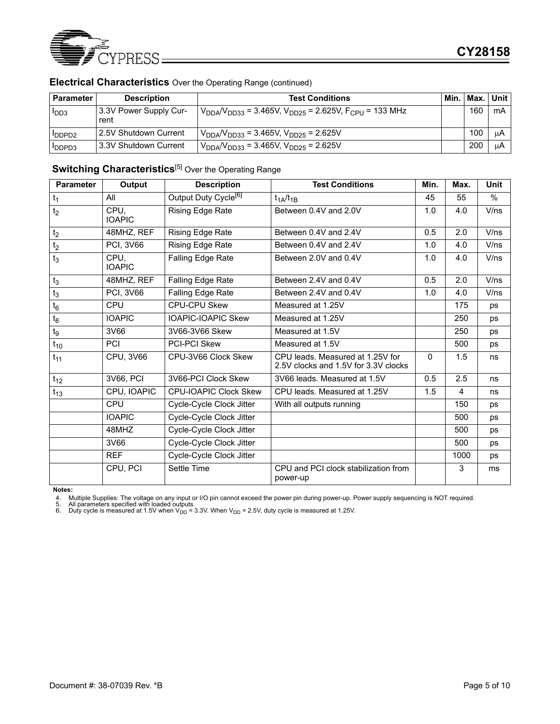

| <b>EIVOLITUAL OTIGIQUELIQUOO</b> OYOL LIIC Operaling I tange Tool lilliaca / |                        |                                                                             |     |  |
|------------------------------------------------------------------------------|------------------------|-----------------------------------------------------------------------------|-----|--|
| l Parameter                                                                  | <b>Description</b>     | <b>Test Conditions</b>                                                      | Min |  |
| 1 <sub>DD3</sub>                                                             | 3.3V Power Supply Cur- | $V_{DDA}V_{DD33}$ = 3.465V, $V_{DD25}$ = 2.625V, F <sub>CPU</sub> = 133 MHz |     |  |

### **Electrical Characteristics** Over the Operating Range (continued)

| l Parameter      | <b>Description</b>             | <b>Test Conditions</b>                                                    | Min. | .   Max.   Unit |     |
|------------------|--------------------------------|---------------------------------------------------------------------------|------|-----------------|-----|
| I <sub>DD3</sub> | 3.3V Power Supply Cur-<br>rent | $V_{DDA}$ / $V_{DD33}$ = 3.465V, $V_{DD25}$ = 2.625V, $F_{CPU}$ = 133 MHz |      | 160             | mA  |
| <b>IDDPD2</b>    | 2.5V Shutdown Current          | $V_{DDA}/V_{DD33}$ = 3.465V, $V_{DD25}$ = 2.625V                          |      | 100             | ιιA |
| I IDDPD3         | 3.3V Shutdown Current          | $V_{DDA}/V_{DD33}$ = 3.465V, $V_{DD25}$ = 2.625V                          |      | 200             | μA  |

# **Switching Characteristics**<sup>[5]</sup> Over the Operating Range

| <b>Parameter</b> | Output                | <b>Description</b>               | <b>Test Conditions</b>                                                   | Min.         | Max. | <b>Unit</b> |
|------------------|-----------------------|----------------------------------|--------------------------------------------------------------------------|--------------|------|-------------|
| $t_1$            | All                   | Output Duty Cycle <sup>[6]</sup> | $t_{1A}/t_{1B}$                                                          | 45           | 55   | $\%$        |
| t <sub>2</sub>   | CPU,<br><b>IOAPIC</b> | Rising Edge Rate                 | Between 0.4V and 2.0V                                                    | 1.0          | 4.0  | V/ns        |
| t <sub>2</sub>   | 48MHZ, REF            | Rising Edge Rate                 | Between 0.4V and 2.4V                                                    | 0.5          | 2.0  | V/ns        |
| t <sub>2</sub>   | PCI, 3V66             | Rising Edge Rate                 | Between 0.4V and 2.4V                                                    | 1.0          | 4.0  | V/ns        |
| $t_3$            | CPU.<br><b>IOAPIC</b> | Falling Edge Rate                | Between 2.0V and 0.4V                                                    | 1.0          | 4.0  | V/ns        |
| $t_3$            | 48MHZ, REF            | Falling Edge Rate                | Between 2.4V and 0.4V                                                    | 0.5          | 2.0  | V/ns        |
| $t_3$            | <b>PCI, 3V66</b>      | Falling Edge Rate                | Between 2.4V and 0.4V                                                    | 1.0          | 4.0  | V/ns        |
| $t_6$            | CPU                   | <b>CPU-CPU Skew</b>              | Measured at 1.25V                                                        |              | 175  | ps          |
| $t_8$            | <b>IOAPIC</b>         | <b>IOAPIC-IOAPIC Skew</b>        | Measured at 1.25V                                                        |              | 250  | <b>ps</b>   |
| tg               | 3V66                  | 3V66-3V66 Skew                   | Measured at 1.5V                                                         |              | 250  | <b>ps</b>   |
| $t_{10}$         | <b>PCI</b>            | <b>PCI-PCI Skew</b>              | Measured at 1.5V                                                         |              | 500  | <b>ps</b>   |
| $t_{11}$         | CPU, 3V66             | CPU-3V66 Clock Skew              | CPU leads. Measured at 1.25V for<br>2.5V clocks and 1.5V for 3.3V clocks | $\mathbf{0}$ | 1.5  | ns          |
| $t_{12}$         | 3V66, PCI             | 3V66-PCI Clock Skew              | 3V66 leads. Measured at 1.5V                                             | 0.5          | 2.5  | ns          |
| $t_{13}$         | CPU, IOAPIC           | <b>CPU-IOAPIC Clock Skew</b>     | CPU leads. Measured at 1.25V                                             | 1.5          | 4    | ns          |
|                  | CPU                   | Cycle-Cycle Clock Jitter         | With all outputs running                                                 |              | 150  | <b>ps</b>   |
|                  | <b>IOAPIC</b>         | Cycle-Cycle Clock Jitter         |                                                                          |              | 500  | ps          |
|                  | 48MHZ                 | Cycle-Cycle Clock Jitter         |                                                                          |              | 500  | <b>ps</b>   |
|                  | 3V66                  | Cycle-Cycle Clock Jitter         |                                                                          |              | 500  | ps          |
|                  | <b>REF</b>            | Cycle-Cycle Clock Jitter         |                                                                          |              | 1000 | ps          |
|                  | CPU, PCI              | Settle Time                      | CPU and PCI clock stabilization from<br>power-up                         |              | 3    | ms          |

**Notes:**

4. Multiple Supplies: The voltage on any input or I/O pin cannot exceed the power pin during power-up. Power supply sequencing is NOT required.<br>5. All parameters specified with loaded outputs.<br>6. Duty cycle is mea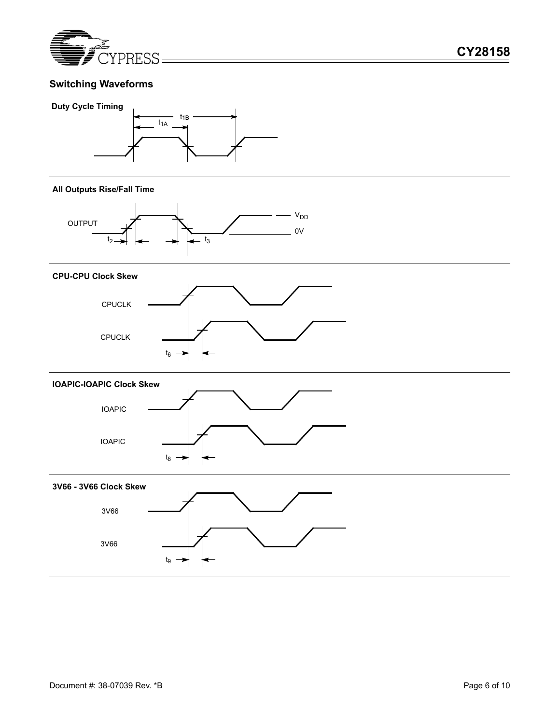

# **Switching Waveforms**



#### **All Outputs Rise/Fall Time**



#### **CPU-CPU Clock Skew**





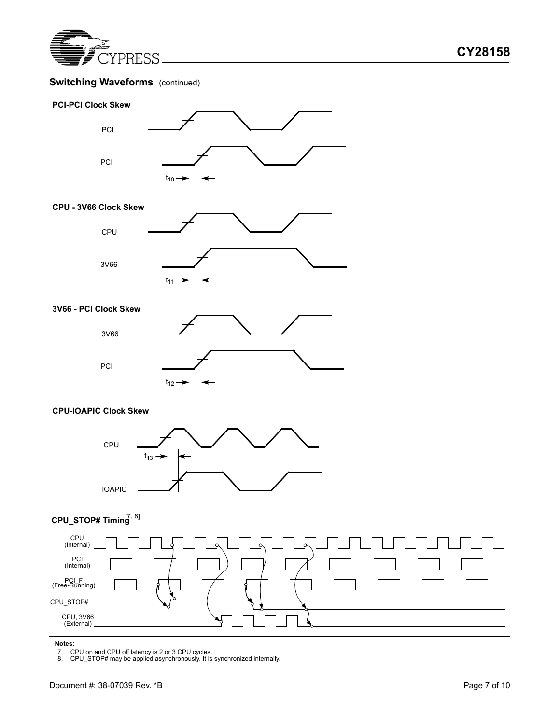

# **Switching Waveforms** (continued)

#### **PCI-PCI Clock Skew**



#### **CPU - 3V66 Clock Skew**



#### **3V66 - PCI Clock Skew**



#### **CPU-IOAPIC Clock Skew**



# **CPU\_STOP# Timing** [7, 8]



#### **Notes:**

7. CPU on and CPU off latency is 2 or 3 CPU cycles. 8. CPU\_STOP# may be applied asynchronously. It is synchronized internally.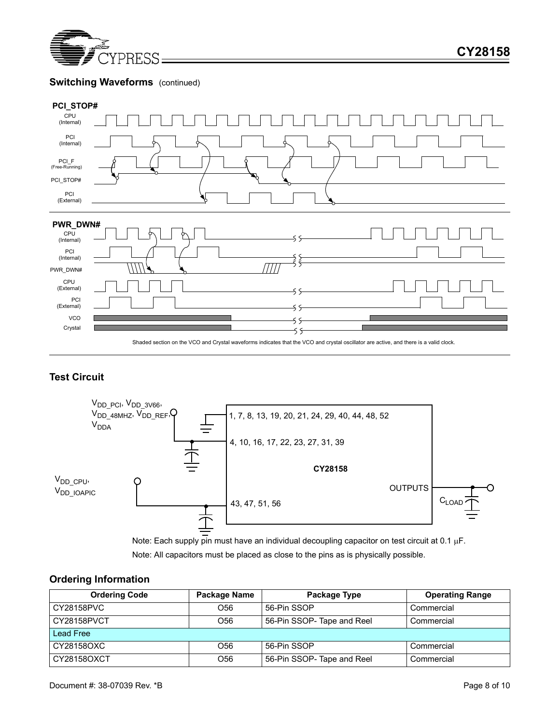

# **Switching Waveforms** (continued)



# **Test Circuit**



Note: All capacitors must be placed as close to the pins as is physically possible. Note: Each supply pin must have an individual decoupling capacitor on test circuit at 0.1  $\mu$ F.

### **Ordering Information**

| <b>Ordering Code</b>           | Package Name    | Package Type               | <b>Operating Range</b> |  |  |  |  |
|--------------------------------|-----------------|----------------------------|------------------------|--|--|--|--|
| CY28158PVC                     | O <sub>56</sub> |                            | Commercial             |  |  |  |  |
| CY28158PVCT                    | O56             | 56-Pin SSOP- Tape and Reel | Commercial             |  |  |  |  |
| Lead Free                      |                 |                            |                        |  |  |  |  |
| CY28158OXC<br>O <sub>56</sub>  |                 | 56-Pin SSOP                | Commercial             |  |  |  |  |
| CY28158OXCT<br>O <sub>56</sub> |                 | 56-Pin SSOP-Tape and Reel  | Commercial             |  |  |  |  |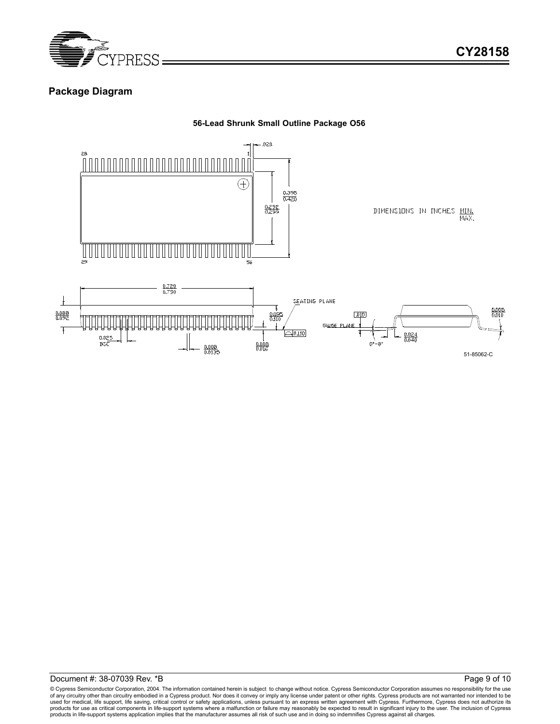

### **Package Diagram**





© Cypress Semiconductor Corporation, 2004. The information contained herein is subject to change without notice. Cypress Semiconductor Corporation assumes no responsibility for the use<br>of any circuitry other than circuitry used for medical, life support, life saving, critical control or safety applications, unless pursuant to an express written agreement with Cypress. Furthermore, Cypress does not authorize its<br>products for use as critical c